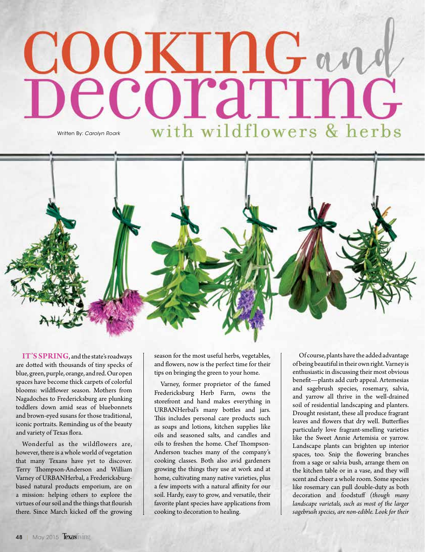## COOKINGane pecoraring with wildflowers & herbs Written By: *Carolyn Roark*



**IT'S SPRING**, and the state's roadways are dotted with thousands of tiny specks of blue, green, purple, orange, and red. Our open spaces have become thick carpets of colorful blooms: wildflower season. Mothers from Nagadoches to Fredericksburg are plunking toddlers down amid seas of bluebonnets and brown-eyed susans for those traditional, iconic portraits. Reminding us of the beauty and variety of Texas flora.

Wonderful as the wildflowers are, however, there is a whole world of vegetation that many Texans have yet to discover. Terry Thompson-Anderson and William Varney of URBANHerbal, a Fredericksburgbased natural products emporium, are on a mission: helping others to explore the virtues of our soil and the things that flourish there. Since March kicked off the growing

season for the most useful herbs, vegetables, and flowers, now is the perfect time for their tips on bringing the green to your home.

Varney, former proprietor of the famed Fredericksburg Herb Farm, owns the storefront and hand makes everything in URBANHerbal's many bottles and jars. This includes personal care products such as soaps and lotions, kitchen supplies like oils and seasoned salts, and candles and oils to freshen the home. Chef Thompson-Anderson teaches many of the company's cooking classes. Both also avid gardeners growing the things they use at work and at home, cultivating many native varieties, plus a few imports with a natural affinity for our soil. Hardy, easy to grow, and versatile, their favorite plant species have applications from cooking to decoration to healing.

Of course, plants have the added advantage of being beautiful in their own right. Varney is enthusiastic in discussing their most obvious benefit—plants add curb appeal. Artemesias and sagebrush species, rosemary, salvia, and yarrow all thrive in the well-drained soil of residential landscaping and planters. Drought resistant, these all produce fragrant leaves and flowers that dry well. Butterflies particularly love fragrant-smelling varieties like the Sweet Annie Artemisia or yarrow. Landscape plants can brighten up interior spaces, too. Snip the flowering branches from a sage or salvia bush, arrange them on the kitchen table or in a vase, and they will scent and cheer a whole room. Some species like rosemary can pull double-duty as both decoration and foodstuff *(though many landscape varietals, such as most of the larger sagebrush species, are non-edible. Look for their*